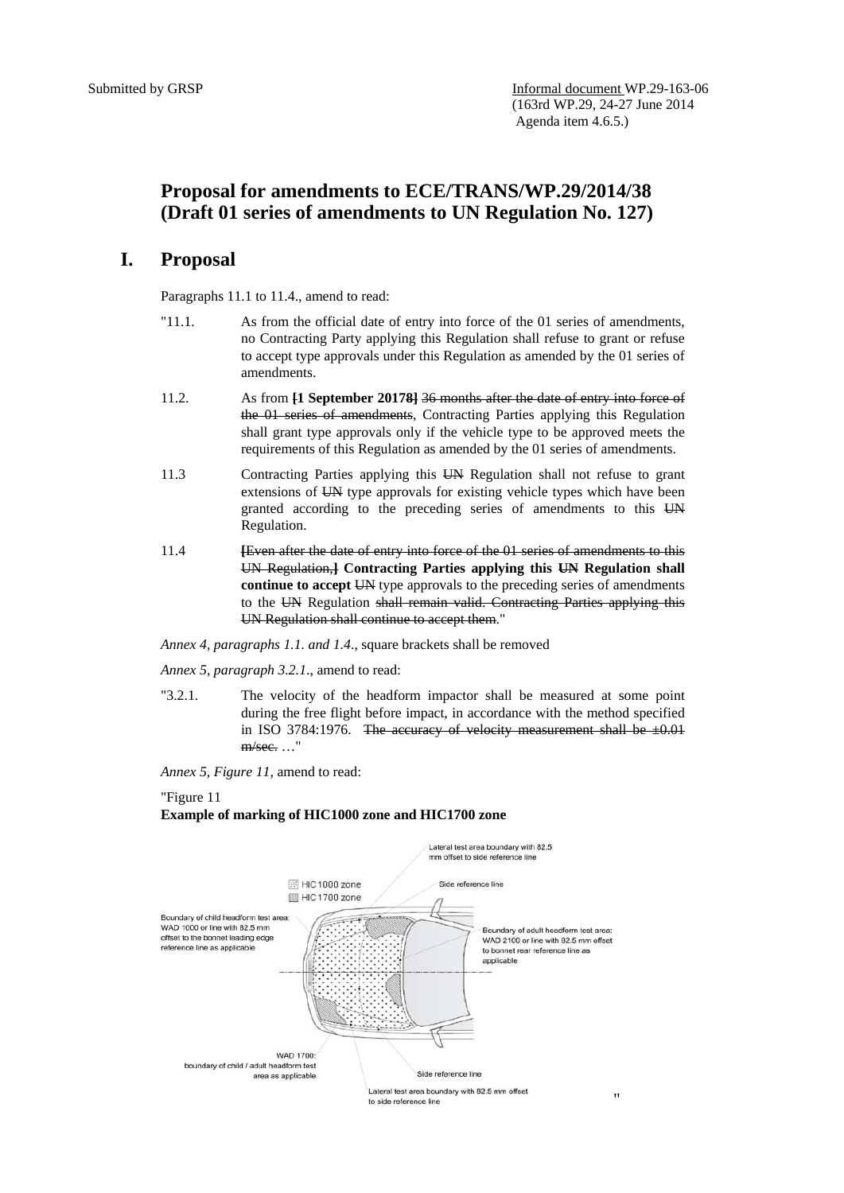# **Proposal for amendments to ECE/TRANS/WP.29/2014/38 (Draft 01 series of amendments to UN Regulation No. 127)**

### **I. Proposal**

Paragraphs 11.1 to 11.4., amend to read:

- "11.1. As from the official date of entry into force of the 01 series of amendments, no Contracting Party applying this Regulation shall refuse to grant or refuse to accept type approvals under this Regulation as amended by the 01 series of amendments.
- 11.2. As from **[1 September 20178]** 36 months after the date of entry into force of the 01 series of amendments, Contracting Parties applying this Regulation shall grant type approvals only if the vehicle type to be approved meets the requirements of this Regulation as amended by the 01 series of amendments.
- 11.3 Contracting Parties applying this UN Regulation shall not refuse to grant extensions of UN type approvals for existing vehicle types which have been granted according to the preceding series of amendments to this UN Regulation.
- 11.4 **[**Even after the date of entry into force of the 01 series of amendments to this UN Regulation,**] Contracting Parties applying this UN Regulation shall continue to accept UN** type approvals to the preceding series of amendments to the UN Regulation shall remain valid. Contracting Parties applying this UN Regulation shall continue to accept them."

*Annex 4, paragraphs 1.1. and 1.4*., square brackets shall be removed

*Annex 5, paragraph 3.2.1*., amend to read:

"3.2.1. The velocity of the headform impactor shall be measured at some point during the free flight before impact, in accordance with the method specified in ISO 3784:1976. The accuracy of velocity measurement shall be  $\pm 0.01$  $m/sec$ .  $\ldots$ "

*Annex 5, Figure 11,* amend to read:

#### "Figure 11

### **Example of marking of HIC1000 zone and HIC1700 zone**